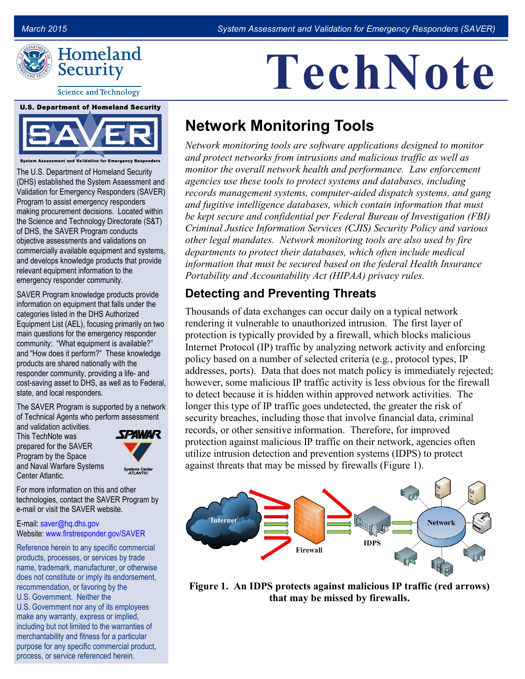

**Science and Technology** 

#### **U.S. Department of Homeland Security**



**Assessment and Validation for Emergency Res**p

The U.S. Department of Homeland Security (DHS) established the System Assessment and Validation for Emergency Responders (SAVER) Program to assist emergency responders making procurement decisions. Located within the Science and Technology Directorate (S&T) of DHS, the SAVER Program conducts objective assessments and validations on commercially available equipment and systems, and develops knowledge products that provide relevant equipment information to the emergency responder community.

SAVER Program knowledge products provide information on equipment that falls under the categories listed in the DHS Authorized Equipment List (AEL), focusing primarily on two main questions for the emergency responder community: "What equipment is available?" and "How does it perform?" These knowledge products are shared nationally with the responder community, providing a life- and cost-saving asset to DHS, as well as to Federal, state, and local responders.

The SAVER Program is supported by a network of Technical Agents who perform assessment

and validation activities. This TechNote was prepared for the SAVER Program by the Space and Naval Warfare Systems Center Atlantic.



For more information on this and other technologies, contact the SAVER Program by e-mail or visit the SAVER website.

#### E-mail: [saver@hq.dhs.gov](mailto:saver@hq.dhs.gov) Website: [www.firstresponder.gov/SAVER](http://www.firstresponder.gov/SAVER)

Reference herein to any specific commercial products, processes, or services by trade name, trademark, manufacturer, or otherwise does not constitute or imply its endorsement, recommendation, or favoring by the U.S. Government. Neither the U.S. Government nor any of its employees make any warranty, express or implied, including but not limited to the warranties of merchantability and fitness for a particular purpose for any specific commercial product, process, or service referenced herein.

# **TechNote**

## **Network Monitoring Tools**

*Network monitoring tools are software applications designed to monitor and protect networks from intrusions and malicious traffic as well as monitor the overall network health and performance. Law enforcement agencies use these tools to protect systems and databases, including records management systems, computer-aided dispatch systems, and gang and fugitive intelligence databases, which contain information that must be kept secure and confidential per Federal Bureau of Investigation (FBI) Criminal Justice Information Services (CJIS) Security Policy and various other legal mandates. Network monitoring tools are also used by fire departments to protect their databases, which often include medical information that must be secured based on the federal Health Insurance Portability and Accountability Act (HIPAA) privacy rules.* 

#### **Detecting and Preventing Threats**

Thousands of data exchanges can occur daily on a typical network rendering it vulnerable to unauthorized intrusion. The first layer of protection is typically provided by a firewall, which blocks malicious Internet Protocol (IP) traffic by analyzing network activity and enforcing policy based on a number of selected criteria (e.g., protocol types, IP addresses, ports). Data that does not match policy is immediately rejected; however, some malicious IP traffic activity is less obvious for the firewall to detect because it is hidden within approved network activities. The longer this type of IP traffic goes undetected, the greater the risk of security breaches, including those that involve financial data, criminal records, or other sensitive information. Therefore, for improved protection against malicious IP traffic on their network, agencies often utilize intrusion detection and prevention systems (IDPS) to protect against threats that may be missed by firewalls (Figure 1).



**Figure 1. An IDPS protects against malicious IP traffic (red arrows) that may be missed by firewalls.**